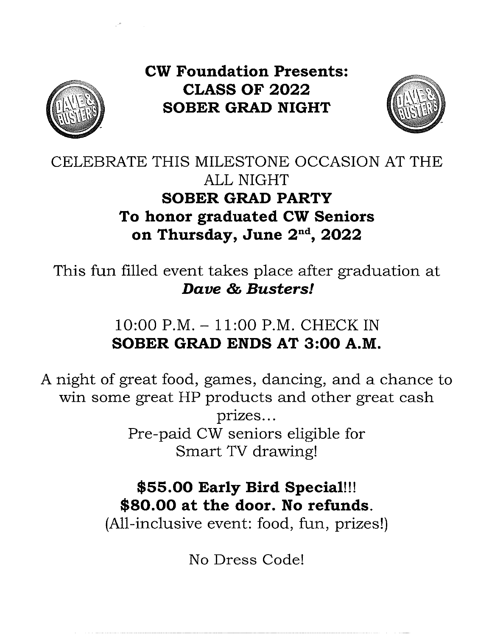

**CW Foundation Presents: CLASS OF 2022 SOBER GRAD NIGHT** 



# CELEBRATE THIS MILESTONE OCCASION AT THE **ALL NIGHT SOBER GRAD PARTY** To honor graduated CW Seniors on Thursday, June 2<sup>nd</sup>, 2022

This fun filled event takes place after graduation at Dave & Busters!

> $10:00$  P.M.  $-11:00$  P.M. CHECK IN SOBER GRAD ENDS AT 3:00 A.M.

A night of great food, games, dancing, and a chance to win some great HP products and other great cash prizes... Pre-paid CW seniors eligible for Smart TV drawing!

# \$55.00 Early Bird Special!!! \$80.00 at the door. No refunds.

(All-inclusive event: food, fun, prizes!)

No Dress Code!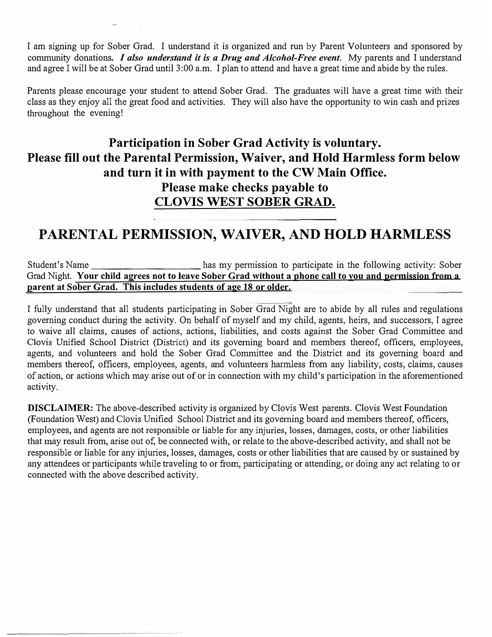I am signing up for Sober Grad. I understand it is organized and run by Parent Volunteers and sponsored by community donations. *I also understand it is a Drug and Alcohol-Free event.* My parents and I understand and agree I will be at Sober Grad until 3:00 a.m. I plan to attend and have a great time and abide by the rules.

Parents please encourage your student to attend Sober Grad. The graduates will have a great time with their class as they enjoy all the great food and activities. They will also have the opportunity to win cash and prizes throughout the evening!

#### **Participation in Sober Grad Activity is voluntary. Please fill out the Parental Permission, Waiver, and Hold Harmless form below and turn it in with payment to the CW Main Office. Please make checks payable to CLOVIS WEST SOBER GRAD.**

### **PARENTAL PERMISSION, WAIVER, AND HOLD HARMLESS**

Student's Name \_\_\_\_\_\_\_\_\_\_\_\_\_\_\_\_\_\_\_\_\_\_ has my permission to participate in the following activity: Sober Grad Night. **Your child agrees not to leave Sober Grad without a phone call to you and permission from a parent at Sober Grad. This includes students of age 18 or older.** 

I fully understand that all students participating in Sober Grad Night are to abide by all rules and regulations governing conduct during the activity. On behalf of myself and my child, agents, heirs, and successors, I agree to waive all claims, causes of actions, actions, liabilities, and costs against the Sober Grad Committee and Clovis Unified School District (District) and its governing board and members thereof, officers, employees, agents, and volunteers and hold the Sober Grad Committee and the District and its governing board and members thereof, officers, employees, agents, and volunteers harmless from any liability, costs, claims, causes of action, or actions which may arise out of or in connection with my child's participation in the aforementioned activity.

**DISCLAIMER:** The above-described activity is organized by Clovis West parents. Clovis West Foundation (Foundation West) and Clovis Unified School District and its governing board and members thereof, officers, employees, and agents are not responsible or liable for any injuries, losses, damages, costs, or other liabilities that may result from, arise out of, be connected with, or relate to the above-described activity, and shall not be responsible or liable for any injuries, losses, damages, costs or other liabilities that are caused by or sustained by any attendees or participants while traveling to or from, participating or attending, or doing any act relating to or connected with the above described activity.